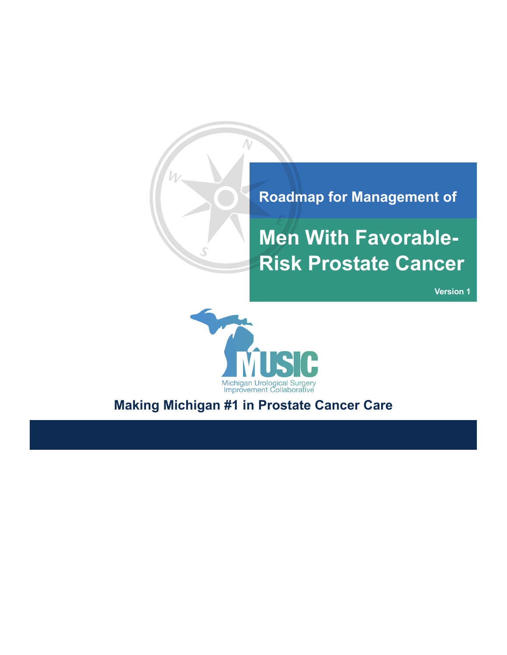

# **Men With Favorable-Risk Prostate Cancer**

**Version 1**



## **Making Michigan #1 in Prostate Cancer Care**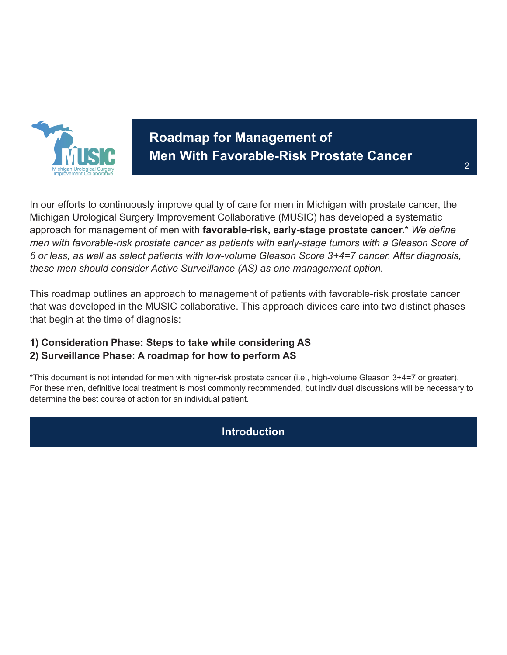

# **Roadmap for Management of Men With Favorable-Risk Prostate Cancer**

In our efforts to continuously improve quality of care for men in Michigan with prostate cancer, the Michigan Urological Surgery Improvement Collaborative (MUSIC) has developed a systematic approach for management of men with **favorable-risk, early-stage prostate cancer.**\* *We define men with favorable-risk prostate cancer as patients with early-stage tumors with a Gleason Score of 6 or less, as well as select patients with low-volume Gleason Score 3+4=7 cancer. After diagnosis, these men should consider Active Surveillance (AS) as one management option.*

This roadmap outlines an approach to management of patients with favorable-risk prostate cancer that was developed in the MUSIC collaborative. This approach divides care into two distinct phases that begin at the time of diagnosis:

# **1) Consideration Phase: Steps to take while considering AS**

#### **2) Surveillance Phase: A roadmap for how to perform AS**

\*This document is not intended for men with higher-risk prostate cancer (i.e., high-volume Gleason 3+4=7 or greater). For these men, definitive local treatment is most commonly recommended, but individual discussions will be necessary to determine the best course of action for an individual patient.

#### **Introduction**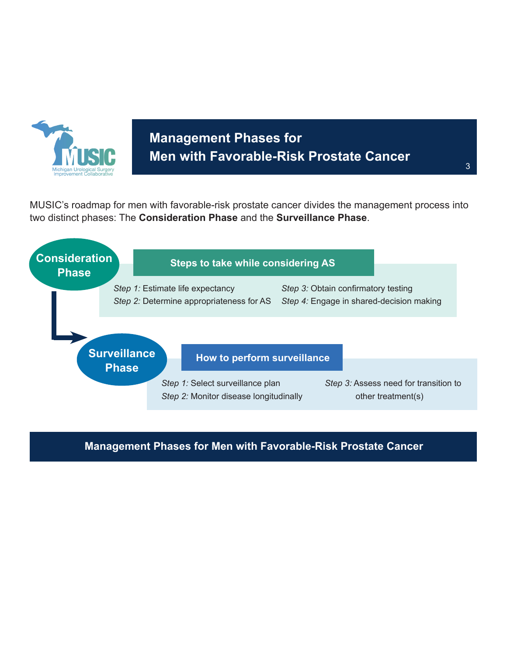

# **Management Phases for Men with Favorable-Risk Prostate Cancer**

MUSIC's roadmap for men with favorable-risk prostate cancer divides the management process into two distinct phases: The **Consideration Phase** and the **Surveillance Phase**.



#### **Management Phases for Men with Favorable-Risk Prostate Cancer**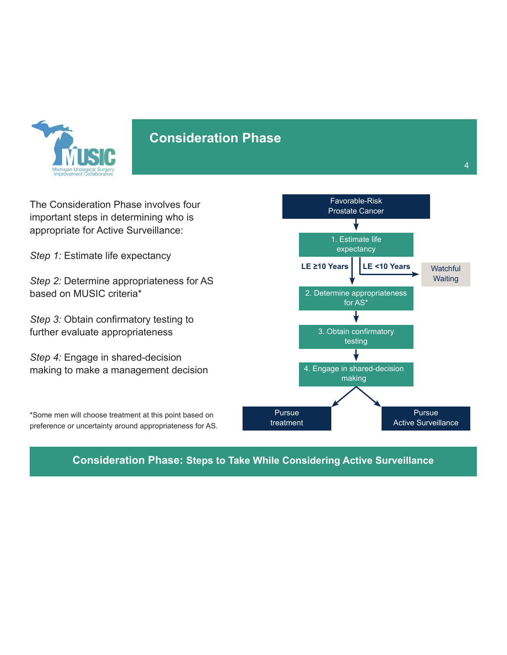

#### **Consideration Phase**

The Consideration Phase involves four important steps in determining who is appropriate for Active Surveillance:

*Step 1:* Estimate life expectancy

*Step 2:* Determine appropriateness for AS based on MUSIC criteria\*

*Step 3:* Obtain confirmatory testing to further evaluate appropriateness

*Step 4:* Engage in shared-decision making to make a management decision

\*Some men will choose treatment at this point based on preference or uncertainty around appropriateness for AS.



**Consideration Phase: Steps to Take While Considering Active Surveillance**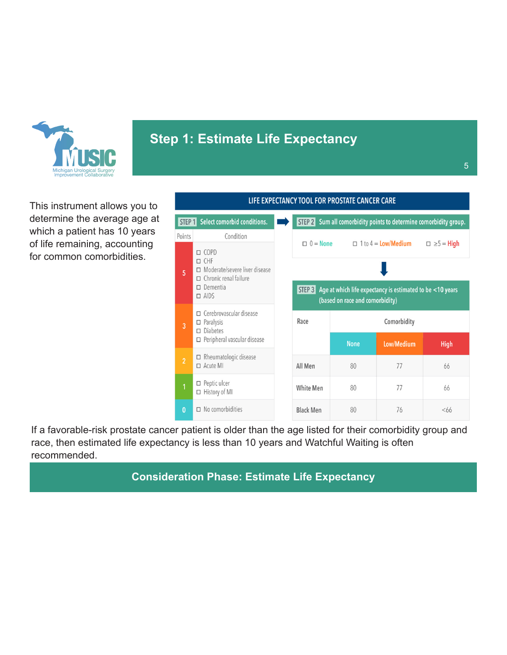

# **Step 1: Estimate Life Expectancy**

| LIFE EXPECTANCY TOOL FOR PROSTATE CANCER CARE |                                                                                                                                   |        |                  |                                       |                                                                                                                     |             |
|-----------------------------------------------|-----------------------------------------------------------------------------------------------------------------------------------|--------|------------------|---------------------------------------|---------------------------------------------------------------------------------------------------------------------|-------------|
|                                               | Select comorbid conditions.<br>Sum all comorbidity points to determine comorbidity group.<br>STEP 2<br>STEP 1                     |        |                  |                                       |                                                                                                                     |             |
| Points                                        | Condition                                                                                                                         |        | $\Box$           |                                       |                                                                                                                     |             |
| 5                                             | $\Box$ COPD<br>$\Box$ CHF<br>□ Moderate/severe liver disease<br>$\Box$ Chronic renal failure<br>$\square$ Dementia<br>$\Box$ AIDS | STEP 3 |                  | $0 =$ None $\Box$ 1 to 4 = Low/Medium | $\Box \ge 5$ = High<br>Age at which life expectancy is estimated to be <10 years<br>(based on race and comorbidity) |             |
| 3                                             | $\Box$ Cerebrovascular disease<br>$\Box$ Paralysis<br>$\square$ Diabetes<br>□ Peripheral vascular disease                         |        | Race             | <b>None</b>                           | Comorbidity<br><b>Low/Medium</b>                                                                                    | <b>High</b> |
| $\overline{2}$                                | $\Box$ Rheumatologic disease<br>$\Box$ Acute MI                                                                                   |        | All Men          | 80                                    | 77                                                                                                                  | 66          |
| 1                                             | $\Box$ Peptic ulcer<br>□ History of MI                                                                                            |        | <b>White Men</b> | 80                                    | 77                                                                                                                  | 66          |
| $\bf{0}$                                      | $\Box$ No comorbidities                                                                                                           |        | <b>Black Men</b> | 80                                    | 76                                                                                                                  | $<$ 66      |

If a favorable-risk prostate cancer patient is older than the age listed for their comorbidity group and race, then estimated life expectancy is less than 10 years and Watchful Waiting is often recommended.

#### **Consideration Phase: Estimate Life Expectancy**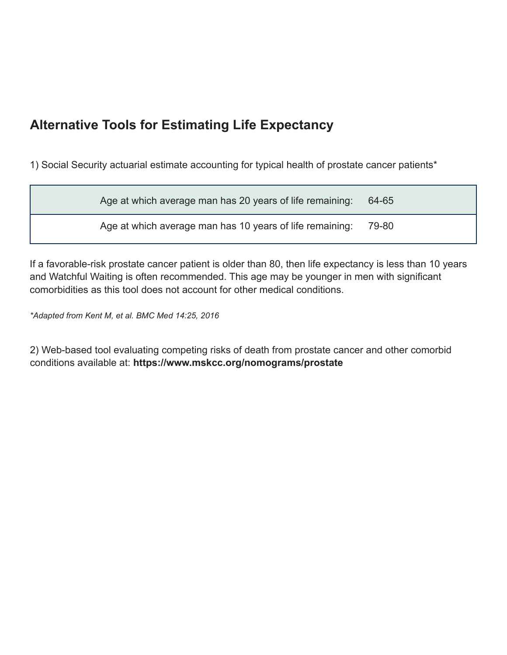# **Alternative Tools for Estimating Life Expectancy**

1) Social Security actuarial estimate accounting for typical health of prostate cancer patients\*

Age at which average man has 20 years of life remaining: 64-65

Age at which average man has 10 years of life remaining: 79-80

If a favorable-risk prostate cancer patient is older than 80, then life expectancy is less than 10 years and Watchful Waiting is often recommended. This age may be younger in men with significant comorbidities as this tool does not account for other medical conditions.

*\*Adapted from Kent M, et al. BMC Med 14:25, 2016*

2) Web-based tool evaluating competing risks of death from prostate cancer and other comorbid conditions available at: **https://www.mskcc.org/nomograms/prostate**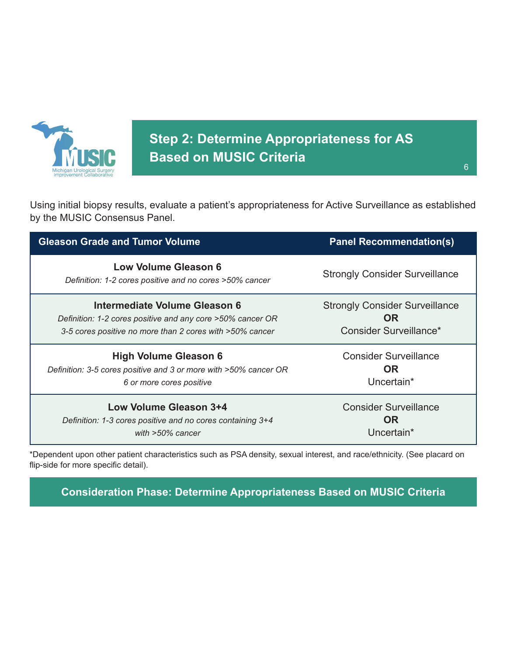

**Step 2: Determine Appropriateness for AS Based on MUSIC Criteria**

Using initial biopsy results, evaluate a patient's appropriateness for Active Surveillance as established by the MUSIC Consensus Panel.

| <b>Gleason Grade and Tumor Volume</b>                                                  | <b>Panel Recommendation(s)</b>        |
|----------------------------------------------------------------------------------------|---------------------------------------|
| <b>Low Volume Gleason 6</b><br>Definition: 1-2 cores positive and no cores >50% cancer | <b>Strongly Consider Surveillance</b> |
| Intermediate Volume Gleason 6                                                          | <b>Strongly Consider Surveillance</b> |
| Definition: 1-2 cores positive and any core >50% cancer OR                             | <b>OR</b>                             |
| 3-5 cores positive no more than 2 cores with >50% cancer                               | Consider Surveillance*                |
| <b>High Volume Gleason 6</b>                                                           | <b>Consider Surveillance</b>          |
| Definition: 3-5 cores positive and 3 or more with >50% cancer OR                       | <b>OR</b>                             |
| 6 or more cores positive                                                               | Uncertain*                            |
| Low Volume Gleason 3+4                                                                 | <b>Consider Surveillance</b>          |
| Definition: 1-3 cores positive and no cores containing 3+4                             | <b>OR</b>                             |
| with $>50\%$ cancer                                                                    | Uncertain*                            |

\*Dependent upon other patient characteristics such as PSA density, sexual interest, and race/ethnicity. (See placard on flip-side for more specific detail).

**Consideration Phase: Determine Appropriateness Based on MUSIC Criteria**

6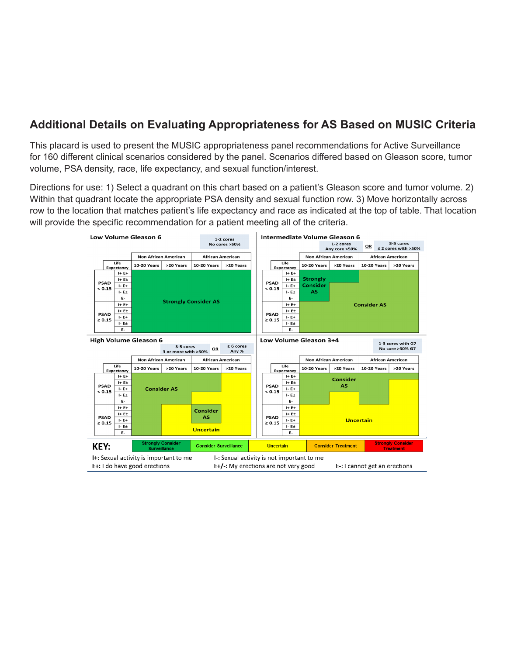#### **Additional Details on Evaluating Appropriateness for AS Based on MUSIC Criteria**

This placard is used to present the MUSIC appropriateness panel recommendations for Active Surveillance for 160 different clinical scenarios considered by the panel. Scenarios differed based on Gleason score, tumor volume, PSA density, race, life expectancy, and sexual function/interest.

Directions for use: 1) Select a quadrant on this chart based on a patient's Gleason score and tumor volume. 2) Within that quadrant locate the appropriate PSA density and sexual function row. 3) Move horizontally across row to the location that matches patient's life expectancy and race as indicated at the top of table. That location will provide the specific recommendation for a patient meeting all of the criteria.

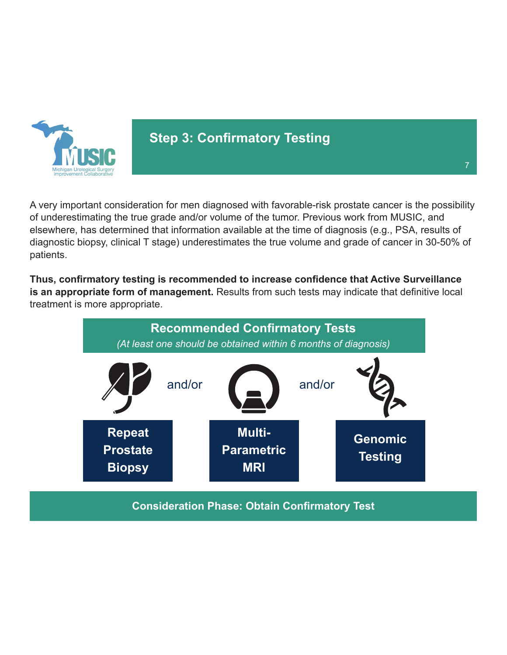

### **Step 3: Confirmatory Testing**

A very important consideration for men diagnosed with favorable-risk prostate cancer is the possibility of underestimating the true grade and/or volume of the tumor. Previous work from MUSIC, and elsewhere, has determined that information available at the time of diagnosis (e.g., PSA, results of diagnostic biopsy, clinical T stage) underestimates the true volume and grade of cancer in 30-50% of patients.

**Thus, confirmatory testing is recommended to increase confidence that Active Surveillance is an appropriate form of management.** Results from such tests may indicate that definitive local treatment is more appropriate.

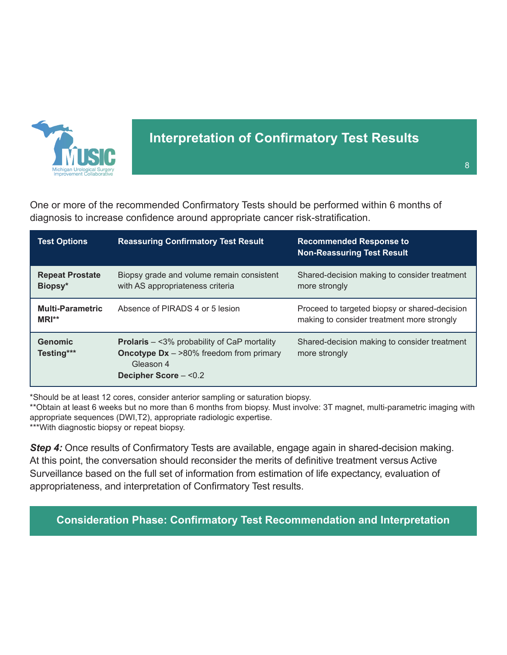

### **Interpretation of Confirmatory Test Results**

One or more of the recommended Confirmatory Tests should be performed within 6 months of diagnosis to increase confidence around appropriate cancer risk-stratification.

| <b>Test Options</b>                | <b>Reassuring Confirmatory Test Result</b>                                                                                                       | <b>Recommended Response to</b><br><b>Non-Reassuring Test Result</b>                         |
|------------------------------------|--------------------------------------------------------------------------------------------------------------------------------------------------|---------------------------------------------------------------------------------------------|
| <b>Repeat Prostate</b><br>Biopsy*  | Biopsy grade and volume remain consistent<br>with AS appropriateness criteria                                                                    | Shared-decision making to consider treatment<br>more strongly                               |
| <b>Multi-Parametric</b><br>$MRI**$ | Absence of PIRADS 4 or 5 lesion                                                                                                                  | Proceed to targeted biopsy or shared-decision<br>making to consider treatment more strongly |
| <b>Genomic</b><br>Testing***       | <b>Prolaris</b> $-$ <3% probability of CaP mortality<br><b>Oncotype Dx</b> $ >$ 80% freedom from primary<br>Gleason 4<br>Decipher Score $ <$ 0.2 | Shared-decision making to consider treatment<br>more strongly                               |

\*Should be at least 12 cores, consider anterior sampling or saturation biopsy.

\*\*Obtain at least 6 weeks but no more than 6 months from biopsy. Must involve: 3T magnet, multi-parametric imaging with appropriate sequences (DWI,T2), appropriate radiologic expertise.

\*\*\*With diagnostic biopsy or repeat biopsy.

**Step 4:** Once results of Confirmatory Tests are available, engage again in shared-decision making. At this point, the conversation should reconsider the merits of definitive treatment versus Active Surveillance based on the full set of information from estimation of life expectancy, evaluation of appropriateness, and interpretation of Confirmatory Test results.

**Consideration Phase: Confirmatory Test Recommendation and Interpretation**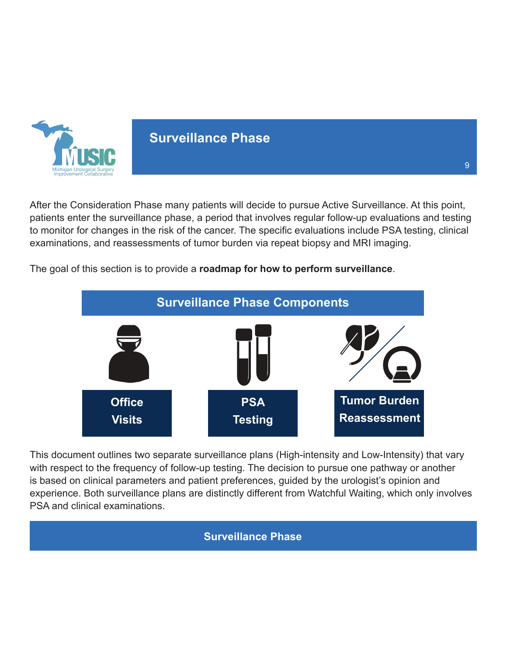

### **Surveillance Phase**

After the Consideration Phase many patients will decide to pursue Active Surveillance. At this point, patients enter the surveillance phase, a period that involves regular follow-up evaluations and testing to monitor for changes in the risk of the cancer. The specific evaluations include PSA testing, clinical examinations, and reassessments of tumor burden via repeat biopsy and MRI imaging.

The goal of this section is to provide a **roadmap for how to perform surveillance**.



This document outlines two separate surveillance plans (High-intensity and Low-Intensity) that vary with respect to the frequency of follow-up testing. The decision to pursue one pathway or another is based on clinical parameters and patient preferences, guided by the urologist's opinion and experience. Both surveillance plans are distinctly different from Watchful Waiting, which only involves PSA and clinical examinations.

#### **Surveillance Phase**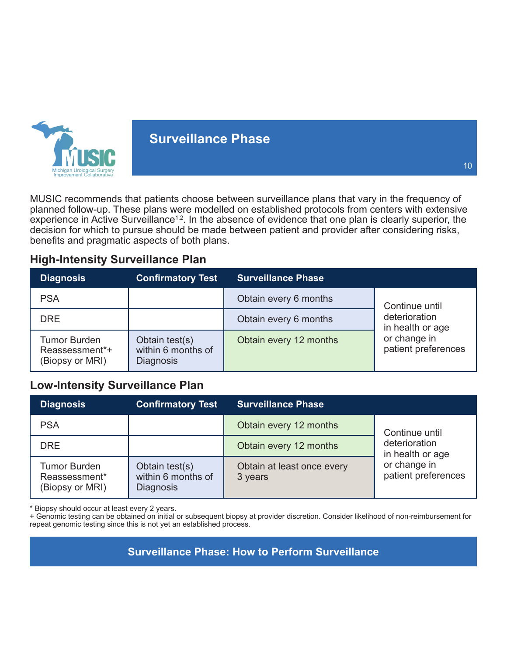

### **Surveillance Phase**

MUSIC recommends that patients choose between surveillance plans that vary in the frequency of planned follow-up. These plans were modelled on established protocols from centers with extensive experience in Active Surveillance<sup>1,2</sup>. In the absence of evidence that one plan is clearly superior, the decision for which to pursue should be made between patient and provider after considering risks, benefits and pragmatic aspects of both plans.

#### **High-Intensity Surveillance Plan**

| <b>Diagnosis</b>                                         | <b>Confirmatory Test</b>                                 | <b>Surveillance Phase</b> |                                     |
|----------------------------------------------------------|----------------------------------------------------------|---------------------------|-------------------------------------|
| <b>PSA</b>                                               |                                                          | Obtain every 6 months     | Continue until                      |
| <b>DRE</b>                                               |                                                          | Obtain every 6 months     | deterioration<br>in health or age   |
| <b>Tumor Burden</b><br>Reassessment*+<br>(Biopsy or MRI) | Obtain test(s)<br>within 6 months of<br><b>Diagnosis</b> | Obtain every 12 months    | or change in<br>patient preferences |

#### **Low-Intensity Surveillance Plan**

| <b>Diagnosis</b>                                        | <b>Confirmatory Test</b>                                 | <b>Surveillance Phase</b>             |                                                                                            |
|---------------------------------------------------------|----------------------------------------------------------|---------------------------------------|--------------------------------------------------------------------------------------------|
| <b>PSA</b>                                              |                                                          | Obtain every 12 months                | Continue until<br>deterioration<br>in health or age<br>or change in<br>patient preferences |
| <b>DRE</b>                                              |                                                          | Obtain every 12 months                |                                                                                            |
| <b>Tumor Burden</b><br>Reassessment*<br>(Biopsy or MRI) | Obtain test(s)<br>within 6 months of<br><b>Diagnosis</b> | Obtain at least once every<br>3 years |                                                                                            |

\* Biopsy should occur at least every 2 years.

+ Genomic testing can be obtained on initial or subsequent biopsy at provider discretion. Consider likelihood of non-reimbursement for repeat genomic testing since this is not yet an established process.

**Surveillance Phase: How to Perform Surveillance**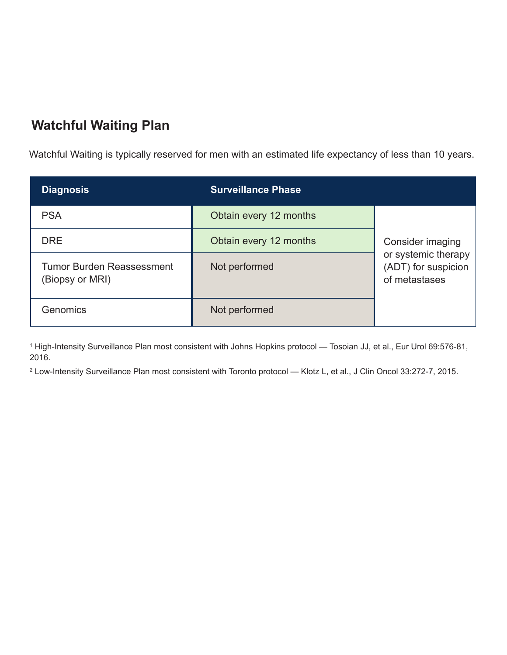# **Watchful Waiting Plan**

Watchful Waiting is typically reserved for men with an estimated life expectancy of less than 10 years.

| <b>Diagnosis</b>                                    | <b>Surveillance Phase</b> |                                                             |
|-----------------------------------------------------|---------------------------|-------------------------------------------------------------|
| <b>PSA</b>                                          | Obtain every 12 months    |                                                             |
| <b>DRE</b>                                          | Obtain every 12 months    | Consider imaging                                            |
| <b>Tumor Burden Reassessment</b><br>(Biopsy or MRI) | Not performed             | or systemic therapy<br>(ADT) for suspicion<br>of metastases |
| Genomics                                            | Not performed             |                                                             |

1 High-Intensity Surveillance Plan most consistent with Johns Hopkins protocol — Tosoian JJ, et al., Eur Urol 69:576-81, 2016.

2 Low-Intensity Surveillance Plan most consistent with Toronto protocol — Klotz L, et al., J Clin Oncol 33:272-7, 2015.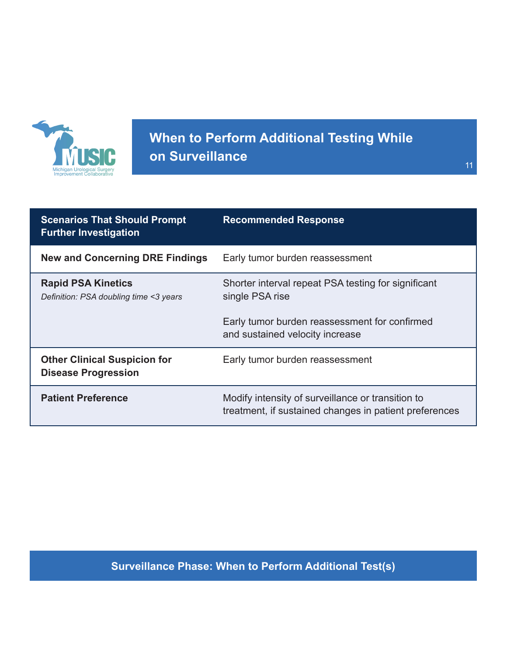

# **When to Perform Additional Testing While on Surveillance**

| <b>Scenarios That Should Prompt</b><br><b>Further Investigation</b> | <b>Recommended Response</b>                                                                                 |
|---------------------------------------------------------------------|-------------------------------------------------------------------------------------------------------------|
| <b>New and Concerning DRE Findings</b>                              | Early tumor burden reassessment                                                                             |
| <b>Rapid PSA Kinetics</b><br>Definition: PSA doubling time <3 years | Shorter interval repeat PSA testing for significant<br>single PSA rise                                      |
|                                                                     | Early tumor burden reassessment for confirmed<br>and sustained velocity increase                            |
| <b>Other Clinical Suspicion for</b><br><b>Disease Progression</b>   | Early tumor burden reassessment                                                                             |
| <b>Patient Preference</b>                                           | Modify intensity of surveillance or transition to<br>treatment, if sustained changes in patient preferences |

### **Surveillance Phase: When to Perform Additional Test(s)**

11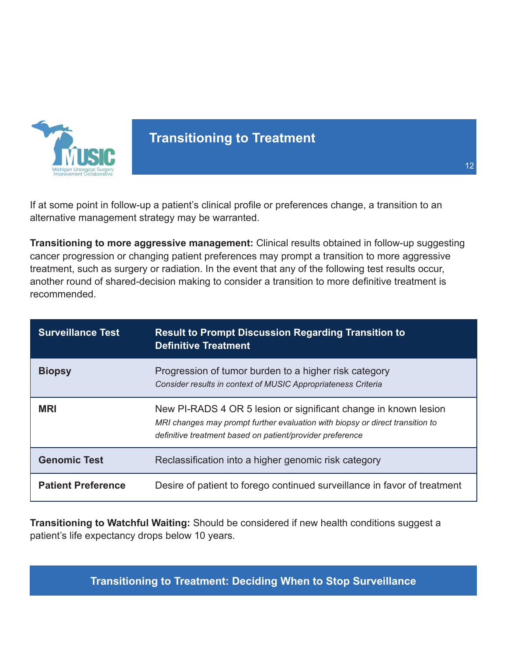

### **Transitioning to Treatment**

If at some point in follow-up a patient's clinical profile or preferences change, a transition to an alternative management strategy may be warranted.

**Transitioning to more aggressive management:** Clinical results obtained in follow-up suggesting cancer progression or changing patient preferences may prompt a transition to more aggressive treatment, such as surgery or radiation. In the event that any of the following test results occur, another round of shared-decision making to consider a transition to more definitive treatment is recommended.

| <b>Surveillance Test</b>  | <b>Result to Prompt Discussion Regarding Transition to</b><br><b>Definitive Treatment</b>                                                                                                                     |
|---------------------------|---------------------------------------------------------------------------------------------------------------------------------------------------------------------------------------------------------------|
| <b>Biopsy</b>             | Progression of tumor burden to a higher risk category<br>Consider results in context of MUSIC Appropriateness Criteria                                                                                        |
| <b>MRI</b>                | New PI-RADS 4 OR 5 lesion or significant change in known lesion<br>MRI changes may prompt further evaluation with biopsy or direct transition to<br>definitive treatment based on patient/provider preference |
| <b>Genomic Test</b>       | Reclassification into a higher genomic risk category                                                                                                                                                          |
| <b>Patient Preference</b> | Desire of patient to forego continued surveillance in favor of treatment                                                                                                                                      |

**Transitioning to Watchful Waiting:** Should be considered if new health conditions suggest a patient's life expectancy drops below 10 years.

**Transitioning to Treatment: Deciding When to Stop Surveillance**